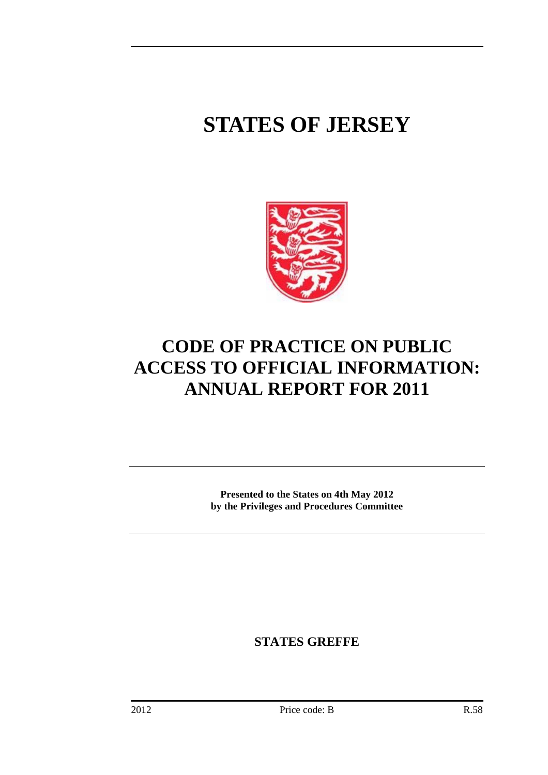# **STATES OF JERSEY**



# **CODE OF PRACTICE ON PUBLIC ACCESS TO OFFICIAL INFORMATION: ANNUAL REPORT FOR 2011**

**Presented to the States on 4th May 2012 by the Privileges and Procedures Committee** 

**STATES GREFFE**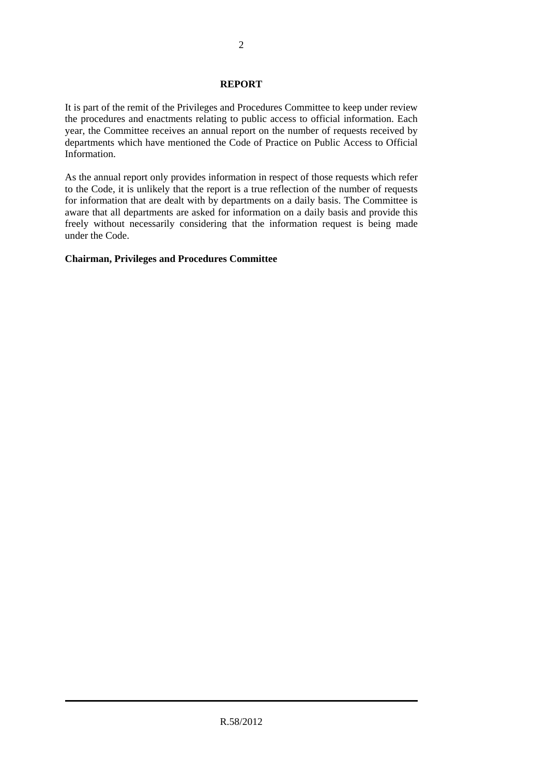#### **REPORT**

It is part of the remit of the Privileges and Procedures Committee to keep under review the procedures and enactments relating to public access to official information. Each year, the Committee receives an annual report on the number of requests received by departments which have mentioned the Code of Practice on Public Access to Official Information.

As the annual report only provides information in respect of those requests which refer to the Code, it is unlikely that the report is a true reflection of the number of requests for information that are dealt with by departments on a daily basis. The Committee is aware that all departments are asked for information on a daily basis and provide this freely without necessarily considering that the information request is being made under the Code.

#### **Chairman, Privileges and Procedures Committee**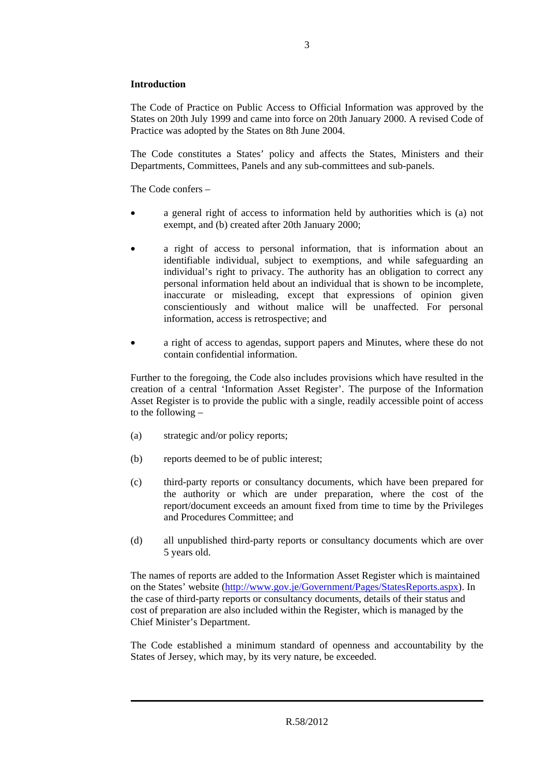#### **Introduction**

The Code of Practice on Public Access to Official Information was approved by the States on 20th July 1999 and came into force on 20th January 2000. A revised Code of Practice was adopted by the States on 8th June 2004.

The Code constitutes a States' policy and affects the States, Ministers and their Departments, Committees, Panels and any sub-committees and sub-panels.

The Code confers –

- a general right of access to information held by authorities which is (a) not exempt, and (b) created after 20th January 2000;
- a right of access to personal information, that is information about an identifiable individual, subject to exemptions, and while safeguarding an individual's right to privacy. The authority has an obligation to correct any personal information held about an individual that is shown to be incomplete, inaccurate or misleading, except that expressions of opinion given conscientiously and without malice will be unaffected. For personal information, access is retrospective; and
- a right of access to agendas, support papers and Minutes, where these do not contain confidential information.

Further to the foregoing, the Code also includes provisions which have resulted in the creation of a central 'Information Asset Register'. The purpose of the Information Asset Register is to provide the public with a single, readily accessible point of access to the following –

- (a) strategic and/or policy reports;
- (b) reports deemed to be of public interest;
- (c) third-party reports or consultancy documents, which have been prepared for the authority or which are under preparation, where the cost of the report/document exceeds an amount fixed from time to time by the Privileges and Procedures Committee; and
- (d) all unpublished third-party reports or consultancy documents which are over 5 years old.

The names of reports are added to the Information Asset Register which is maintained on the States' website (http://www.gov.je/Government/Pages/StatesReports.aspx). In the case of third-party reports or consultancy documents, details of their status and cost of preparation are also included within the Register, which is managed by the Chief Minister's Department.

The Code established a minimum standard of openness and accountability by the States of Jersey, which may, by its very nature, be exceeded.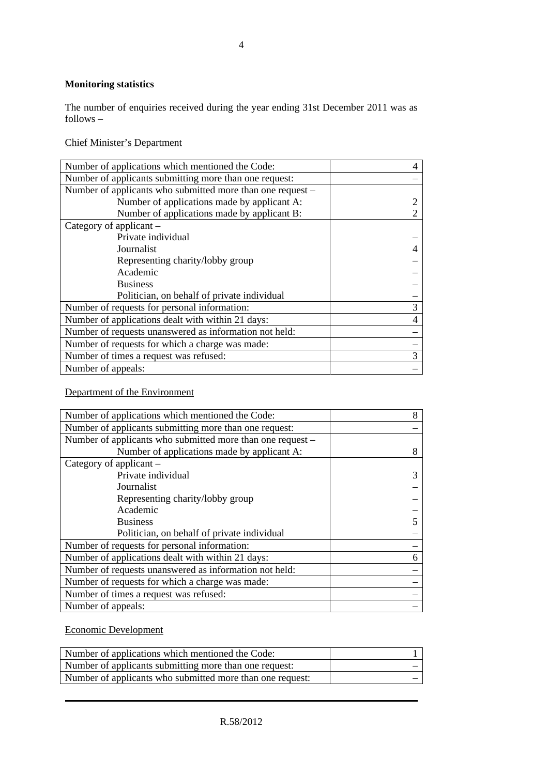## **Monitoring statistics**

The number of enquiries received during the year ending 31st December 2011 was as follows –

Chief Minister's Department

| Number of applications which mentioned the Code:           |  |
|------------------------------------------------------------|--|
| Number of applicants submitting more than one request:     |  |
| Number of applicants who submitted more than one request – |  |
| Number of applications made by applicant A:                |  |
| Number of applications made by applicant B:                |  |
| Category of applicant $-$                                  |  |
| Private individual                                         |  |
| Journalist                                                 |  |
| Representing charity/lobby group                           |  |
| Academic                                                   |  |
| <b>Business</b>                                            |  |
| Politician, on behalf of private individual                |  |
| Number of requests for personal information:               |  |
| Number of applications dealt with within 21 days:          |  |
| Number of requests unanswered as information not held:     |  |
| Number of requests for which a charge was made:            |  |
| Number of times a request was refused:                     |  |
| Number of appeals:                                         |  |

Department of the Environment

| Number of applications which mentioned the Code:           | 8 |
|------------------------------------------------------------|---|
| Number of applicants submitting more than one request:     |   |
| Number of applicants who submitted more than one request – |   |
| Number of applications made by applicant A:                | 8 |
| Category of applicant –                                    |   |
| Private individual                                         | 3 |
| Journalist                                                 |   |
| Representing charity/lobby group                           |   |
| Academic                                                   |   |
| <b>Business</b>                                            |   |
| Politician, on behalf of private individual                |   |
| Number of requests for personal information:               |   |
| Number of applications dealt with within 21 days:          | 6 |
| Number of requests unanswered as information not held:     |   |
| Number of requests for which a charge was made:            |   |
| Number of times a request was refused:                     |   |
| Number of appeals:                                         |   |
|                                                            |   |

## Economic Development

| Number of applications which mentioned the Code:          |  |
|-----------------------------------------------------------|--|
| Number of applicants submitting more than one request:    |  |
| Number of applicants who submitted more than one request: |  |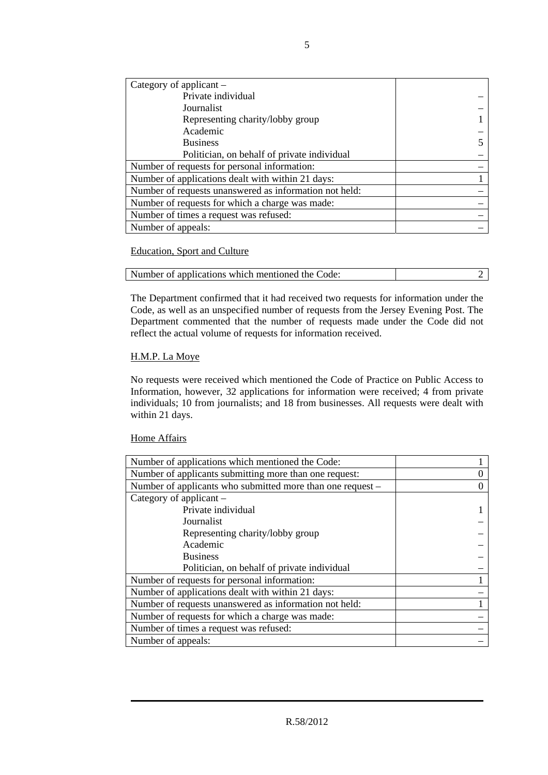| Category of applicant $-$                              |  |
|--------------------------------------------------------|--|
| Private individual                                     |  |
| Journalist                                             |  |
| Representing charity/lobby group                       |  |
| Academic                                               |  |
| <b>Business</b>                                        |  |
| Politician, on behalf of private individual            |  |
| Number of requests for personal information:           |  |
| Number of applications dealt with within 21 days:      |  |
| Number of requests unanswered as information not held: |  |
| Number of requests for which a charge was made:        |  |
| Number of times a request was refused:                 |  |
| Number of appeals:                                     |  |

#### Education, Sport and Culture

| Number of applications which mentioned the Code: |  |
|--------------------------------------------------|--|

The Department confirmed that it had received two requests for information under the Code, as well as an unspecified number of requests from the Jersey Evening Post. The Department commented that the number of requests made under the Code did not reflect the actual volume of requests for information received.

#### H.M.P. La Moye

No requests were received which mentioned the Code of Practice on Public Access to Information, however, 32 applications for information were received; 4 from private individuals; 10 from journalists; and 18 from businesses. All requests were dealt with within 21 days.

#### Home Affairs

| Number of applications which mentioned the Code:           |  |
|------------------------------------------------------------|--|
| Number of applicants submitting more than one request:     |  |
| Number of applicants who submitted more than one request – |  |
| Category of applicant $-$                                  |  |
| Private individual                                         |  |
| Journalist                                                 |  |
| Representing charity/lobby group                           |  |
| Academic                                                   |  |
| <b>Business</b>                                            |  |
| Politician, on behalf of private individual                |  |
| Number of requests for personal information:               |  |
| Number of applications dealt with within 21 days:          |  |
| Number of requests unanswered as information not held:     |  |
| Number of requests for which a charge was made:            |  |
| Number of times a request was refused:                     |  |
| Number of appeals:                                         |  |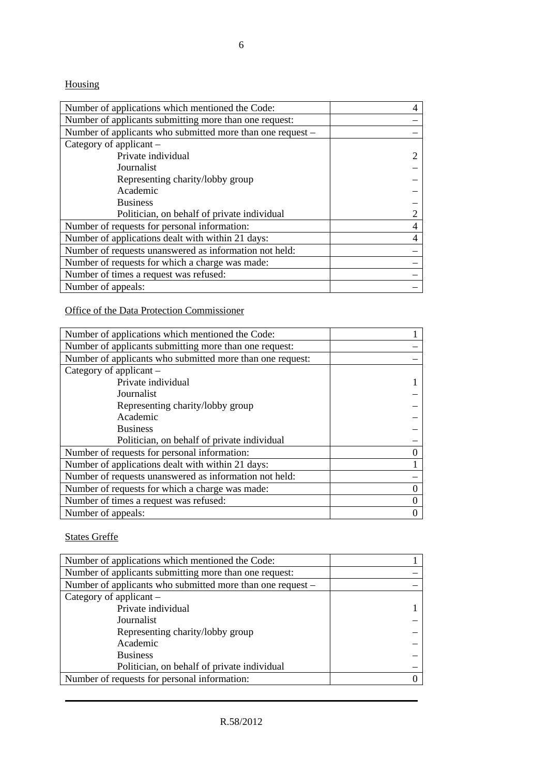6

# Housing

| Number of applications which mentioned the Code:           |  |
|------------------------------------------------------------|--|
| Number of applicants submitting more than one request:     |  |
| Number of applicants who submitted more than one request - |  |
| Category of applicant –                                    |  |
| Private individual                                         |  |
| Journalist                                                 |  |
| Representing charity/lobby group                           |  |
| Academic                                                   |  |
| <b>Business</b>                                            |  |
| Politician, on behalf of private individual                |  |
| Number of requests for personal information:               |  |
| Number of applications dealt with within 21 days:          |  |
| Number of requests unanswered as information not held:     |  |
| Number of requests for which a charge was made:            |  |
| Number of times a request was refused:                     |  |
| Number of appeals:                                         |  |

Office of the Data Protection Commissioner

| Number of applications which mentioned the Code:          |  |
|-----------------------------------------------------------|--|
| Number of applicants submitting more than one request:    |  |
| Number of applicants who submitted more than one request: |  |
| Category of applicant –                                   |  |
| Private individual                                        |  |
| Journalist                                                |  |
| Representing charity/lobby group                          |  |
| Academic                                                  |  |
| <b>Business</b>                                           |  |
| Politician, on behalf of private individual               |  |
| Number of requests for personal information:              |  |
| Number of applications dealt with within 21 days:         |  |
| Number of requests unanswered as information not held:    |  |
| Number of requests for which a charge was made:           |  |
| Number of times a request was refused:                    |  |
| Number of appeals:                                        |  |

States Greffe

| Number of applications which mentioned the Code:           |  |
|------------------------------------------------------------|--|
| Number of applicants submitting more than one request:     |  |
| Number of applicants who submitted more than one request – |  |
| Category of applicant $-$                                  |  |
| Private individual                                         |  |
| Journalist                                                 |  |
| Representing charity/lobby group                           |  |
| Academic                                                   |  |
| <b>Business</b>                                            |  |
| Politician, on behalf of private individual                |  |
| Number of requests for personal information:               |  |
|                                                            |  |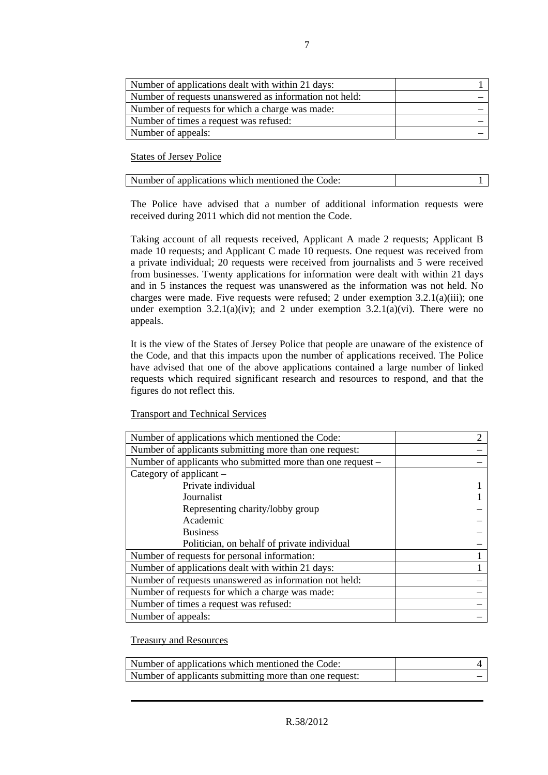| Number of applications dealt with within 21 days:      |  |
|--------------------------------------------------------|--|
| Number of requests unanswered as information not held: |  |
| Number of requests for which a charge was made:        |  |
| Number of times a request was refused:                 |  |
| Number of appeals:                                     |  |

States of Jersey Police

| Number of applications which mentioned the Code: |  |
|--------------------------------------------------|--|
|--------------------------------------------------|--|

The Police have advised that a number of additional information requests were received during 2011 which did not mention the Code.

Taking account of all requests received, Applicant A made 2 requests; Applicant B made 10 requests; and Applicant C made 10 requests. One request was received from a private individual; 20 requests were received from journalists and 5 were received from businesses. Twenty applications for information were dealt with within 21 days and in 5 instances the request was unanswered as the information was not held. No charges were made. Five requests were refused; 2 under exemption  $3.2.1(a)(iii)$ ; one under exemption 3.2.1(a)(iv); and 2 under exemption 3.2.1(a)(vi). There were no appeals.

It is the view of the States of Jersey Police that people are unaware of the existence of the Code, and that this impacts upon the number of applications received. The Police have advised that one of the above applications contained a large number of linked requests which required significant research and resources to respond, and that the figures do not reflect this.

#### Transport and Technical Services

| Number of applications which mentioned the Code:           |  |
|------------------------------------------------------------|--|
| Number of applicants submitting more than one request:     |  |
| Number of applicants who submitted more than one request – |  |
| Category of applicant $-$                                  |  |
| Private individual                                         |  |
| Journalist                                                 |  |
| Representing charity/lobby group                           |  |
| Academic                                                   |  |
| <b>Business</b>                                            |  |
| Politician, on behalf of private individual                |  |
| Number of requests for personal information:               |  |
| Number of applications dealt with within 21 days:          |  |
| Number of requests unanswered as information not held:     |  |
| Number of requests for which a charge was made:            |  |
| Number of times a request was refused:                     |  |
| Number of appeals:                                         |  |

Treasury and Resources

| Number of applications which mentioned the Code:       |  |
|--------------------------------------------------------|--|
| Number of applicants submitting more than one request: |  |